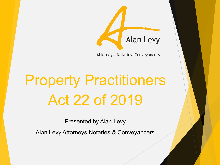

Attorneys Notaries Conveyancers

# Property Practitioners Act 22 of 2019

Presented by Alan Levy

Alan Levy Attorneys Notaries & Conveyancers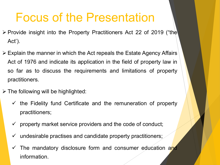### Focus of the Presentation

- $\triangleright$  Provide insight into the Property Practitioners Act 22 of 2019 ("the Act').
- Explain the manner in which the Act repeals the Estate Agency Affairs Act of 1976 and indicate its application in the field of property law in so far as to discuss the requirements and limitations of property practitioners.
- $\triangleright$  The following will be highlighted:
	- $\checkmark$  the Fidelity fund Certificate and the remuneration of property practitioners;
	- $\checkmark$  property market service providers and the code of conduct;
	- $\checkmark$  undesirable practises and candidate property practitioners;
	- The mandatory disclosure form and consumer education and information.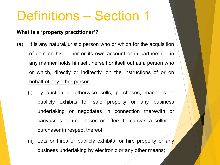## Definitions – Section 1

#### **What is a 'property practitioner'?**

- (a) It is any natural/juristic person who or which for the acquisition of gain on his or her or its own account or in partnership, in any manner holds himself, herself or itself out as a person who or which, directly or indirectly, on the instructions of or on behalf of any other person
	- (i) by auction or otherwise sells, purchases, manages or publicly exhibits for sale property or any business undertaking or negotiates in connection therewith or canvasses or undertakes or offers to canvas a seller or purchaser in respect thereof;
	- (ii) Lets or hires or publicly exhibits for hire property or any business undertaking by electronic or any other means;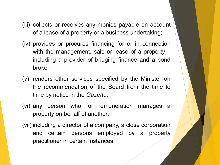- (iii) collects or receives any monies payable on account of a lease of a property or a business undertaking;
- (iv) provides or procures financing for or in connection with the management, sale or lease of a property – including a provider of bridging finance and a bond broker;
- (v) renders other services specified by the Minister on the recommendation of the Board from the time to time by notice in the *Gazette*;
- (vi) any person who for remuneration manages a property on behalf of another;
- (vii) including a director of a company, a close corporation and certain persons employed by a property practitioner in certain instances.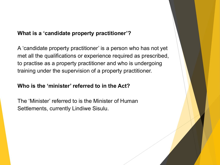#### **What is a 'candidate property practitioner'?**

A 'candidate property practitioner' is a person who has not yet met all the qualifications or experience required as prescribed, to practise as a property practitioner and who is undergoing training under the supervision of a property practitioner.

#### **Who is the 'minister' referred to in the Act?**

The 'Minister' referred to is the Minister of Human Settlements, currently Lindiwe Sisulu.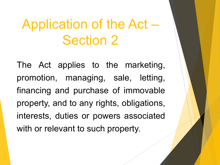## Application of the Act – Section 2

The Act applies to the marketing, promotion, managing, sale, letting, financing and purchase of immovable property, and to any rights, obligations, interests, duties or powers associated with or relevant to such property.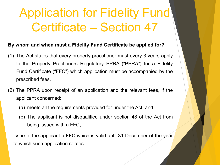## Application for Fidelity Fund Certificate – Section 47

#### **By whom and when must a Fidelity Fund Certificate be applied for?**

- (1) The Act states that every property practitioner must every 3 years apply to the Property Practioners Regulatory PPRA ("PPRA") for a Fidelity Fund Certificate ("FFC") which application must be accompanied by the prescribed fees.
- (2) The PPRA upon receipt of an application and the relevant fees, if the applicant concerned:
	- (a) meets all the requirements provided for under the Act; and
	- (b) The applicant is not disqualified under section 48 of the Act from being issued with a FFC,

issue to the applicant a FFC which is valid until 31 December of the year to which such application relates.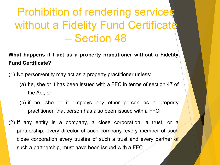### Prohibition of rendering services without a Fidelity Fund Certificate – Section 48

**What happens if I act as a property practitioner without a Fidelity Fund Certificate?**

(1) No person/entity may act as a property practitioner unless:

- (a) he, she or it has been issued with a FFC in terms of section 47 of the Act; or
- (b) if he, she or it employs any other person as a property practitioner, that person has also been issued with a FFC.
- (2) If any entity is a company, a close corporation, a trust, or a partnership, every director of such company, every member of such close corporation every trustee of such a trust and every partner of such a partnership, must have been issued with a FFC.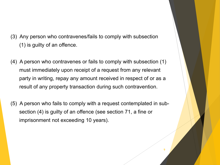- (3) Any person who contravenes/fails to comply with subsection (1) is guilty of an offence.
- (4) A person who contravenes or fails to comply with subsection (1) must immediately upon receipt of a request from any relevant party in writing, repay any amount received in respect of or as a result of any property transaction during such contravention.
- (5) A person who fails to comply with a request contemplated in subsection (4) is guilty of an offence (see section 71, a fine or imprisonment not exceeding 10 years).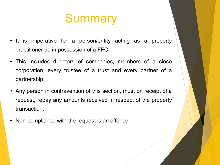### **Summary**

- It is imperative for a person/entity acting as a property practitioner be in possession of a FFC.
- This includes directors of companies, members of a close corporation, every trustee of a trust and every partner of a partnership.
- Any person in contravention of this section, must on receipt of a request, repay any amounts received in respect of the property transaction.
- Non-compliance with the request is an offence.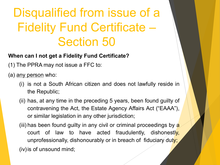## Disqualified from issue of a Fidelity Fund Certificate – Section 50

#### **When can I not get a Fidelity Fund Certificate?**

(1) The PPRA may not issue a FFC to:

(a) any person who:

- (i) is not a South African citizen and does not lawfully reside in the Republic;
- (ii) has, at any time in the preceding 5 years, been found guilty of contravening the Act, the Estate Agency Affairs Act ("EAAA"), or similar legislation in any other jurisdiction;
- (iii) has been found guilty in any civil or criminal proceedings by  $a$ court of law to have acted fraudulently, dishonestly, unprofessionally, dishonourably or in breach of fiduciary duty; (iv)is of unsound mind;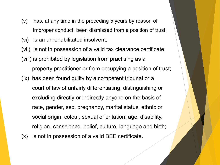- (v) has, at any time in the preceding 5 years by reason of improper conduct, been dismissed from a position of trust;
- (vi) is an unrehabilitated insolvent;
- (vii) is not in possession of a valid tax clearance certificate; (viii) is prohibited by legislation from practising as a property practitioner or from occupying a position of trust; (ix) has been found guilty by a competent tribunal or a court of law of unfairly differentiating, distinguishing or excluding directly or indirectly anyone on the basis of race, gender, sex, pregnancy, marital status, ethnic or social origin, colour, sexual orientation, age, disability, religion, conscience, belief, culture, language and birth;
- (x) is not in possession of a valid BEE certificate.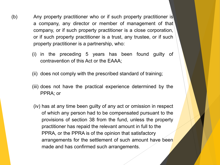- (b) Any property practitioner who or if such property practitioner is a company, any director or member of management of that company, or if such property practitioner is a close corporation, or if such property practitioner is a trust, any trustee, or if such property practitioner is a partnership, who:
	- (i) in the preceding 5 years has been found guilty of contravention of this Act or the EAAA;
	- (ii) does not comply with the prescribed standard of training;
	- (iii) does not have the practical experience determined by the PPRA; or
	- (iv) has at any time been guilty of any act or omission in respect of which any person had to be compensated pursuant to the provisions of section 38 from the fund, unless the property practitioner has repaid the relevant amount in full to the PPRA, or the PPRA is of the opinion that satisfactory arrangements for the settlement of such amount have been made and has confirmed such arrangements.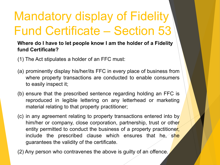## Mandatory display of Fidelity Fund Certificate – Section 53

#### **Where do I have to let people know I am the holder of a Fidelity fund Certificate?**

- (1) The Act stipulates a holder of an FFC must:
- (a) prominently display his/her/its FFC in every place of business from where property transactions are conducted to enable consumers to easily inspect it;
- (b) ensure that the prescribed sentence regarding holding an FFC is reproduced in legible lettering on any letterhead or marketing material relating to that property practitioner;
- (c) in any agreement relating to property transactions entered into by him/her or company, close corporation, partnership, trust or other entity permitted to conduct the business of a property practitioner, include the prescribed clause which ensures that he, she guarantees the validity of the certificate.
- (2) Any person who contravenes the above is guilty of an offence.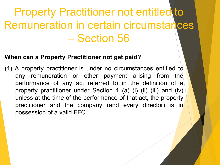### **Property Practitioner not entitled to** Remuneration in certain circumstances – Section 56

### **When can a Property Practitioner not get paid?**

(1) A property practitioner is under no circumstances entitled to any remuneration or other payment arising from the performance of any act referred to in the definition of a property practitioner under Section 1 (a) (i) (ii) (iii) and (iv) unless at the time of the performance of that act, the property practitioner and the company (and every director) is in possession of a valid FFC.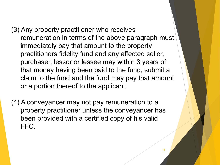- (3) Any property practitioner who receives remuneration in terms of the above paragraph must immediately pay that amount to the property practitioners fidelity fund and any affected seller, purchaser, lessor or lessee may within 3 years of that money having been paid to the fund, submit a claim to the fund and the fund may pay that amount or a portion thereof to the applicant.
- (4) A conveyancer may not pay remuneration to a property practitioner unless the conveyancer has been provided with a certified copy of his valid FFC.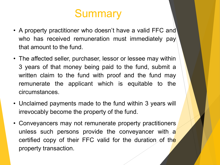### **Summary**

- A property practitioner who doesn't have a valid FFC and who has received remuneration must immediately pay that amount to the fund.
- The affected seller, purchaser, lessor or lessee may within 3 years of that money being paid to the fund, submit a written claim to the fund with proof and the fund may remunerate the applicant which is equitable to the circumstances.
- Unclaimed payments made to the fund within 3 years will irrevocably become the property of the fund.
- Conveyancers may not remunerate property practitioners unless such persons provide the conveyancer with  $a'$ certified copy of their FFC valid for the duration of the property transaction.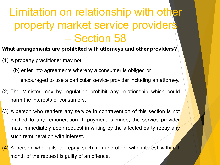### Limitation on relationship with other property market service providers – Section 58

- **What arrangements are prohibited with attorneys and other providers?**
- (1) A property practitioner may not:
	- (b) enter into agreements whereby a consumer is obliged or encouraged to use a particular service provider including an attorney.
- (2) The Minister may by regulation prohibit any relationship which could harm the interests of consumers.
- (3) A person who renders any service in contravention of this section is not entitled to any remuneration. If payment is made, the service provider must immediately upon request in writing by the affected party repay any such remuneration with interest.
- $(4)$  A person who fails to repay such remuneration with interest within 1 month of the request is guilty of an offence.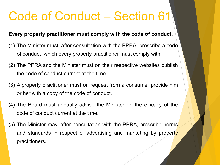### Code of Conduct – Section 61

#### **Every property practitioner must comply with the code of conduct.**

- (1) The Minister must, after consultation with the PPRA, prescribe a code of conduct which every property practitioner must comply with.
- (2) The PPRA and the Minister must on their respective websites publish the code of conduct current at the time.
- (3) A property practitioner must on request from a consumer provide him or her with a copy of the code of conduct.
- (4) The Board must annually advise the Minister on the efficacy of the code of conduct current at the time.
- (5) The Minister may, after consultation with the PPRA, prescribe norms and standards in respect of advertising and marketing by property practitioners.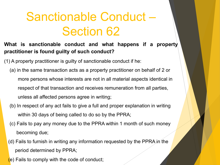## Sanctionable Conduct – Section 62

**What is sanctionable conduct and what happens if a property practitioner is found guilty of such conduct?**

(1) A property practitioner is guilty of sanctionable conduct if he:

- (a) in the same transaction acts as a property practitioner on behalf of 2 or more persons whose interests are not in all material aspects identical in respect of that transaction and receives remuneration from all parties, unless all affected persons agree in writing;
- (b) In respect of any act fails to give a full and proper explanation in writing within 30 days of being called to do so by the PPRA;
- (c) Fails to pay any money due to the PPRA within 1 month of such money becoming due;
- (d) Fails to furnish in writing any information requested by the PPRA in the period determined by PPRA;
- (e) Fails to comply with the code of conduct;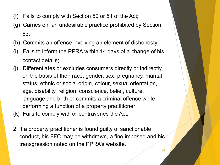- (f) Fails to comply with Section 50 or 51 of the Act;
- (g) Carries on an undesirable practice prohibited by Section 63;
- (h) Commits an offence involving an element of dishonesty;
- (i) Fails to inform the PPRA within 14 days of a change of his contact details;
- (j) Differentiates or excludes consumers directly or indirectly on the basis of their race, gender, sex, pregnancy, marital status, ethnic or social origin, colour, sexual orientation, age, disability, religion, conscience, belief, culture, language and birth or commits a criminal offence while performing a function of a property practitioner;
- (k) Fails to comply with or contravenes the Act.
- 2. If a property practitioner is found guilty of sanctionable conduct, his FFC may be withdrawn, a fine imposed and his transgression noted on the PPRA's website.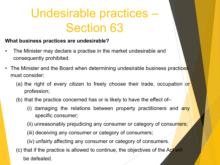## Undesirable practices – Section 63

#### **What business practices are undesirable?**

- The Minister may declare a practise in the market undesirable and consequently prohibited.
- The Minister and the Board when determining undesirable business practices must consider:
	- (a) the right of every citizen to freely choose their trade, occupation or profession;
	- (b) that the practice concerned has or is likely to have the effect of–
		- (i) damaging the relations between property practitioners and any specific consumer;
		- (ii) unreasonably prejudicing any consumer or category of consumers;
		- (iii) deceiving any consumer or category of consumers;
		- (iv) unfairly affecting any consumer or category of consumers.
	- (c) that if the practice is allowed to continue, the objectives of the Act will be defeated.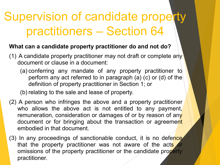## Supervision of candidate property practitioners – Section 64

### **What can a candidate property practitioner do and not do?**

- (1) A candidate property practitioner may not draft or complete any document or clause in a document:
	- (a) conferring any mandate of any property practitioner to perform any act referred to in paragraph (a) (c) or (d) of the definition of property practitioner in Section 1; or

(b) relating to the sale and lease of property.

- (2) A person who infringes the above and a property practitioner who allows the above act is not entitled to any payment, remuneration, consideration or damages of or by reason of any document or for bringing about the transaction or agreement embodied in that document.
- (3) In any proceedings of sanctionable conduct, it is no defence that the property practitioner was not aware of the acts or omissions of the property practitioner or the candidate property practitioner.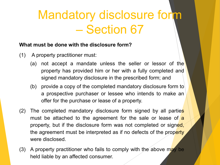## Mandatory disclosure form – Section 67

#### **What must be done with the disclosure form?**

- (1) A property practitioner must:
	- (a) not accept a mandate unless the seller or lessor of the property has provided him or her with a fully completed and signed mandatory disclosure in the prescribed form; and
	- (b) provide a copy of the completed mandatory disclosure form to a prospective purchaser or lessee who intends to make an offer for the purchase or lease of a property.
- (2) The completed mandatory disclosure form signed by all parties must be attached to the agreement for the sale or lease of a property, but if the disclosure form was not completed or signed, the agreement must be interpreted as if no defects of the property were disclosed.
- (3) A property practitioner who fails to comply with the above may be held liable by an affected consumer.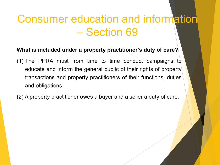### Consumer education and information – Section 69

#### **What is included under a property practitioner's duty of care?**

- (1) The PPRA must from time to time conduct campaigns to educate and inform the general public of their rights of property transactions and property practitioners of their functions, duties and obligations.
- (2) A property practitioner owes a buyer and a seller a duty of care.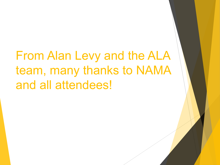From Alan Levy and the ALA team, many thanks to NAMA and all attendees!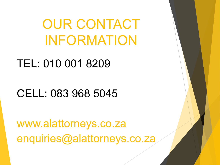OUR CONTACT INFORMATION

TEL: 010 001 8209

CELL: 083 968 5045

www.alattorneys.co.za enquiries@alattorneys.co.za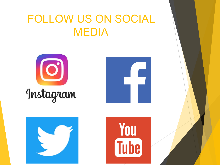### FOLLOW US ON SOCIAL MEDIA